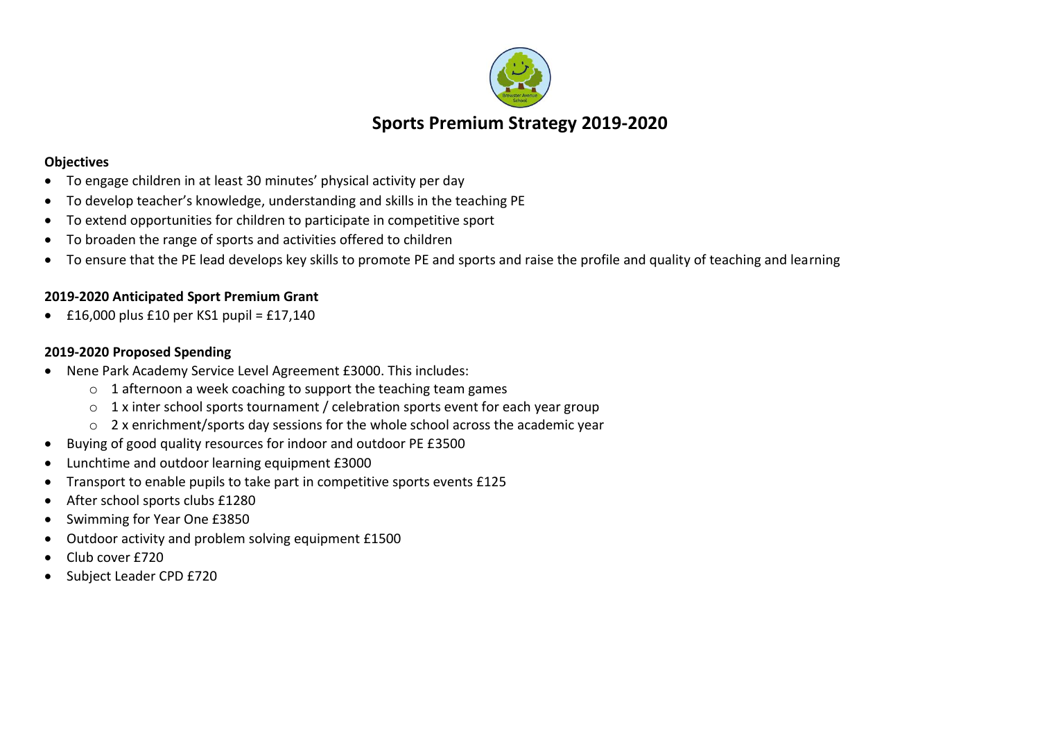

## **Objectives**

- To engage children in at least 30 minutes' physical activity per day
- To develop teacher's knowledge, understanding and skills in the teaching PE
- To extend opportunities for children to participate in competitive sport
- To broaden the range of sports and activities offered to children
- To ensure that the PE lead develops key skills to promote PE and sports and raise the profile and quality of teaching and learning

## **2019-2020 Anticipated Sport Premium Grant**

 $\bullet$  £16,000 plus £10 per KS1 pupil = £17,140

## **2019-2020 Proposed Spending**

- Nene Park Academy Service Level Agreement £3000. This includes:
	- o 1 afternoon a week coaching to support the teaching team games
	- $\circ$  1 x inter school sports tournament / celebration sports event for each year group
	- $\circ$  2 x enrichment/sports day sessions for the whole school across the academic year
- Buying of good quality resources for indoor and outdoor PE £3500
- Lunchtime and outdoor learning equipment £3000
- Transport to enable pupils to take part in competitive sports events £125
- After school sports clubs £1280
- Swimming for Year One £3850
- Outdoor activity and problem solving equipment £1500
- Club cover £720
- Subject Leader CPD £720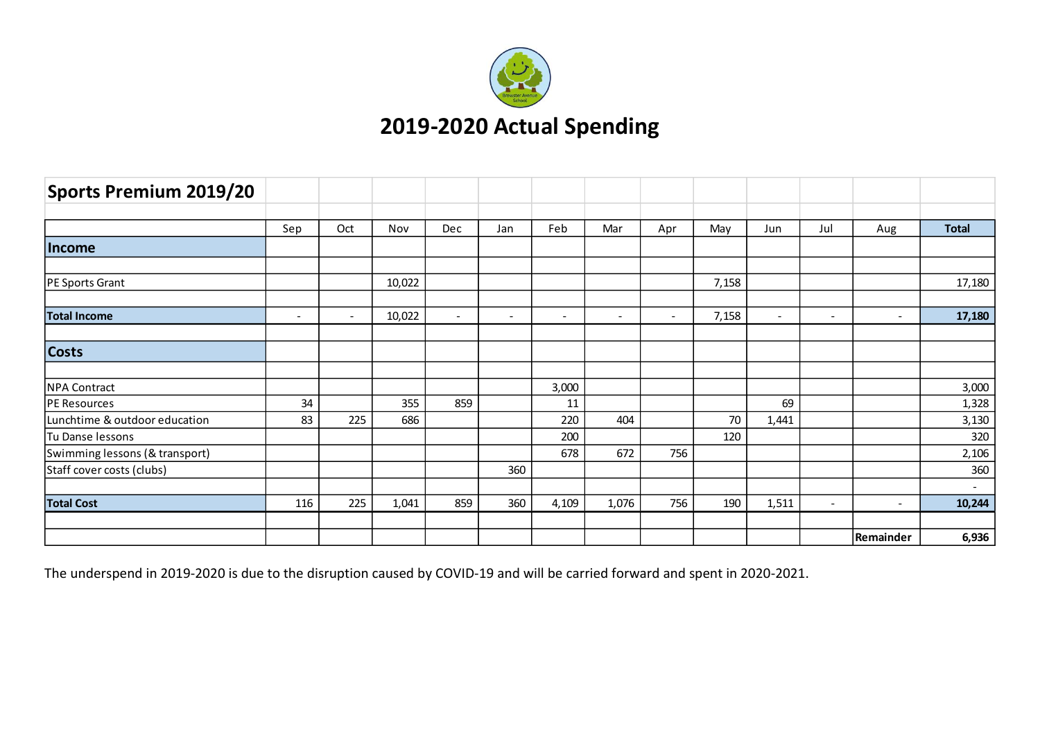

| Sports Premium 2019/20         |        |                          |        |                          |                          |                          |                          |                          |       |                          |                          |                          |                  |
|--------------------------------|--------|--------------------------|--------|--------------------------|--------------------------|--------------------------|--------------------------|--------------------------|-------|--------------------------|--------------------------|--------------------------|------------------|
|                                | Sep    | Oct                      | Nov    | Dec                      | Jan                      | Feb                      | Mar                      | Apr                      | May   | Jun                      | Jul                      | Aug                      | <b>Total</b>     |
| Income                         |        |                          |        |                          |                          |                          |                          |                          |       |                          |                          |                          |                  |
| PE Sports Grant                |        |                          | 10,022 |                          |                          |                          |                          |                          | 7,158 |                          |                          |                          | 17,180           |
| <b>Total Income</b>            | $\sim$ | $\overline{\phantom{a}}$ | 10,022 | $\overline{\phantom{a}}$ | $\overline{\phantom{a}}$ | $\overline{\phantom{a}}$ | $\overline{\phantom{a}}$ | $\overline{\phantom{a}}$ | 7,158 | $\overline{\phantom{a}}$ | $\overline{\phantom{a}}$ | $\overline{\phantom{a}}$ | 17,180           |
| <b>Costs</b>                   |        |                          |        |                          |                          |                          |                          |                          |       |                          |                          |                          |                  |
| <b>NPA Contract</b>            |        |                          |        |                          |                          | 3,000                    |                          |                          |       |                          |                          |                          | 3,000            |
| PE Resources                   | 34     |                          | 355    | 859                      |                          | 11                       |                          |                          |       | 69                       |                          |                          | 1,328            |
| Lunchtime & outdoor education  | 83     | 225                      | 686    |                          |                          | 220                      | 404                      |                          | 70    | 1,441                    |                          |                          | 3,130            |
| Tu Danse lessons               |        |                          |        |                          |                          | 200                      |                          |                          | 120   |                          |                          |                          | 320              |
| Swimming lessons (& transport) |        |                          |        |                          |                          | 678                      | 672                      | 756                      |       |                          |                          |                          | 2,106            |
| Staff cover costs (clubs)      |        |                          |        |                          | 360                      |                          |                          |                          |       |                          |                          |                          | 360              |
| <b>Total Cost</b>              | 116    | 225                      | 1,041  | 859                      | 360                      | 4,109                    | 1,076                    | 756                      | 190   | 1,511                    | $\sim$                   | $\overline{\phantom{a}}$ | $\sim$<br>10,244 |
|                                |        |                          |        |                          |                          |                          |                          |                          |       |                          |                          |                          |                  |
|                                |        |                          |        |                          |                          |                          |                          |                          |       |                          |                          | Remainder                | 6,936            |

The underspend in 2019-2020 is due to the disruption caused by COVID-19 and will be carried forward and spent in 2020-2021.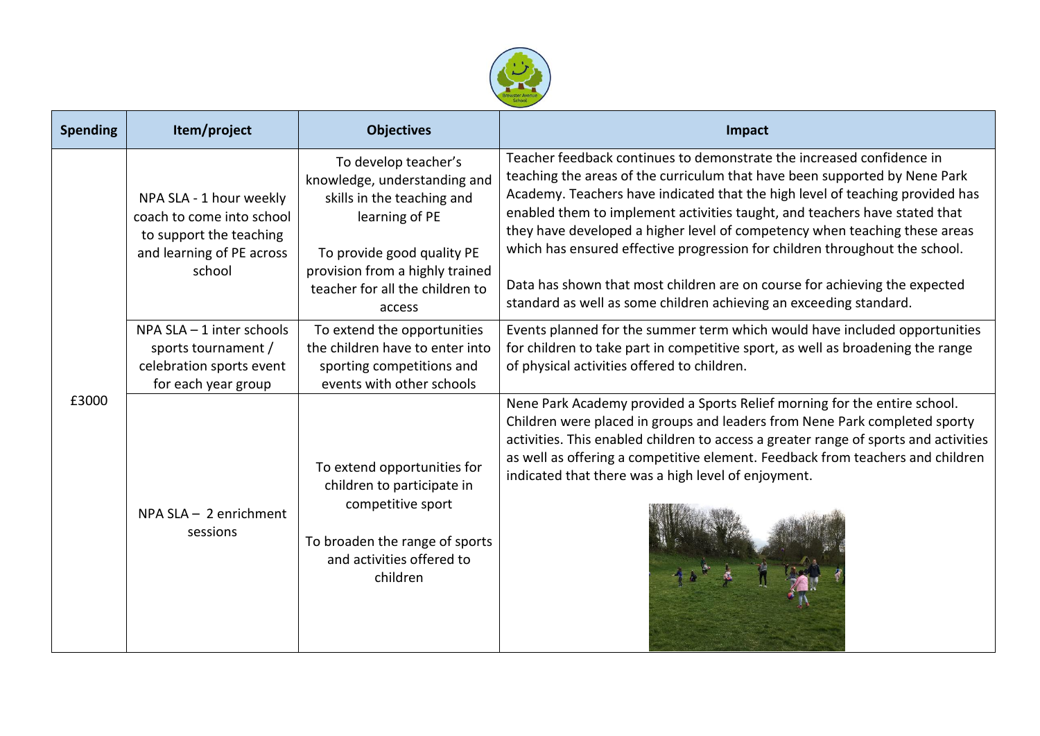

| <b>Spending</b> | Item/project<br><b>Objectives</b>                                                                                      |                                                                                                                                                                                                                    | Impact                                                                                                                                                                                                                                                                                                                                                                                                                                                                                                                                                                                                                              |  |  |  |  |
|-----------------|------------------------------------------------------------------------------------------------------------------------|--------------------------------------------------------------------------------------------------------------------------------------------------------------------------------------------------------------------|-------------------------------------------------------------------------------------------------------------------------------------------------------------------------------------------------------------------------------------------------------------------------------------------------------------------------------------------------------------------------------------------------------------------------------------------------------------------------------------------------------------------------------------------------------------------------------------------------------------------------------------|--|--|--|--|
|                 | NPA SLA - 1 hour weekly<br>coach to come into school<br>to support the teaching<br>and learning of PE across<br>school | To develop teacher's<br>knowledge, understanding and<br>skills in the teaching and<br>learning of PE<br>To provide good quality PE<br>provision from a highly trained<br>teacher for all the children to<br>access | Teacher feedback continues to demonstrate the increased confidence in<br>teaching the areas of the curriculum that have been supported by Nene Park<br>Academy. Teachers have indicated that the high level of teaching provided has<br>enabled them to implement activities taught, and teachers have stated that<br>they have developed a higher level of competency when teaching these areas<br>which has ensured effective progression for children throughout the school.<br>Data has shown that most children are on course for achieving the expected<br>standard as well as some children achieving an exceeding standard. |  |  |  |  |
|                 | NPA $SLA - 1$ inter schools<br>sports tournament /<br>celebration sports event<br>for each year group                  | To extend the opportunities<br>the children have to enter into<br>sporting competitions and<br>events with other schools                                                                                           | Events planned for the summer term which would have included opportunities<br>for children to take part in competitive sport, as well as broadening the range<br>of physical activities offered to children.                                                                                                                                                                                                                                                                                                                                                                                                                        |  |  |  |  |
| £3000           | $NPA SLA - 2$ enrichment<br>sessions                                                                                   | To extend opportunities for<br>children to participate in<br>competitive sport<br>To broaden the range of sports<br>and activities offered to<br>children                                                          | Nene Park Academy provided a Sports Relief morning for the entire school.<br>Children were placed in groups and leaders from Nene Park completed sporty<br>activities. This enabled children to access a greater range of sports and activities<br>as well as offering a competitive element. Feedback from teachers and children<br>indicated that there was a high level of enjoyment.                                                                                                                                                                                                                                            |  |  |  |  |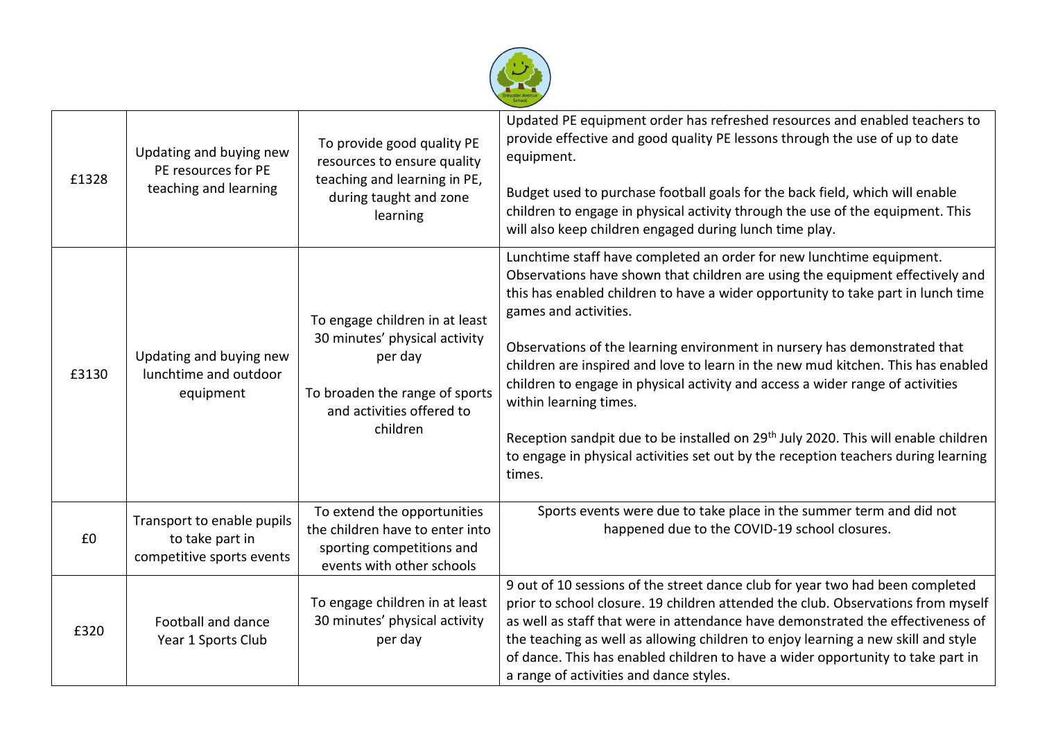

| £1328 | Updating and buying new<br>PE resources for PE<br>teaching and learning    | To provide good quality PE<br>resources to ensure quality<br>teaching and learning in PE,<br>during taught and zone<br>learning                       | Updated PE equipment order has refreshed resources and enabled teachers to<br>provide effective and good quality PE lessons through the use of up to date<br>equipment.<br>Budget used to purchase football goals for the back field, which will enable<br>children to engage in physical activity through the use of the equipment. This<br>will also keep children engaged during lunch time play.                                                                                                                                                                                                                                                                                                                                              |
|-------|----------------------------------------------------------------------------|-------------------------------------------------------------------------------------------------------------------------------------------------------|---------------------------------------------------------------------------------------------------------------------------------------------------------------------------------------------------------------------------------------------------------------------------------------------------------------------------------------------------------------------------------------------------------------------------------------------------------------------------------------------------------------------------------------------------------------------------------------------------------------------------------------------------------------------------------------------------------------------------------------------------|
| £3130 | Updating and buying new<br>lunchtime and outdoor<br>equipment              | To engage children in at least<br>30 minutes' physical activity<br>per day<br>To broaden the range of sports<br>and activities offered to<br>children | Lunchtime staff have completed an order for new lunchtime equipment.<br>Observations have shown that children are using the equipment effectively and<br>this has enabled children to have a wider opportunity to take part in lunch time<br>games and activities.<br>Observations of the learning environment in nursery has demonstrated that<br>children are inspired and love to learn in the new mud kitchen. This has enabled<br>children to engage in physical activity and access a wider range of activities<br>within learning times.<br>Reception sandpit due to be installed on 29 <sup>th</sup> July 2020. This will enable children<br>to engage in physical activities set out by the reception teachers during learning<br>times. |
| £0    | Transport to enable pupils<br>to take part in<br>competitive sports events | To extend the opportunities<br>the children have to enter into<br>sporting competitions and<br>events with other schools                              | Sports events were due to take place in the summer term and did not<br>happened due to the COVID-19 school closures.                                                                                                                                                                                                                                                                                                                                                                                                                                                                                                                                                                                                                              |
| £320  | Football and dance<br>Year 1 Sports Club                                   | To engage children in at least<br>30 minutes' physical activity<br>per day                                                                            | 9 out of 10 sessions of the street dance club for year two had been completed<br>prior to school closure. 19 children attended the club. Observations from myself<br>as well as staff that were in attendance have demonstrated the effectiveness of<br>the teaching as well as allowing children to enjoy learning a new skill and style<br>of dance. This has enabled children to have a wider opportunity to take part in<br>a range of activities and dance styles.                                                                                                                                                                                                                                                                           |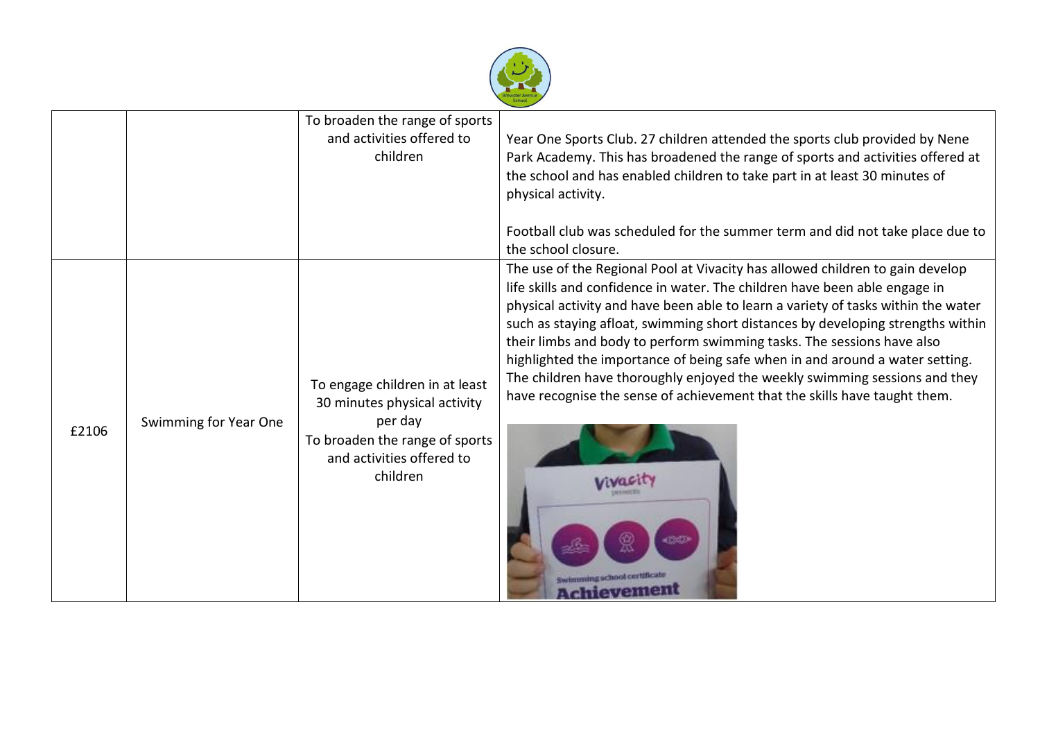

|       |                       | To broaden the range of sports<br>and activities offered to<br>children                                                                              | Year One Sports Club. 27 children attended the sports club provided by Nene<br>Park Academy. This has broadened the range of sports and activities offered at<br>the school and has enabled children to take part in at least 30 minutes of<br>physical activity.<br>Football club was scheduled for the summer term and did not take place due to<br>the school closure.                                                                                                                                                                                                                                                                                             |
|-------|-----------------------|------------------------------------------------------------------------------------------------------------------------------------------------------|-----------------------------------------------------------------------------------------------------------------------------------------------------------------------------------------------------------------------------------------------------------------------------------------------------------------------------------------------------------------------------------------------------------------------------------------------------------------------------------------------------------------------------------------------------------------------------------------------------------------------------------------------------------------------|
| £2106 | Swimming for Year One | To engage children in at least<br>30 minutes physical activity<br>per day<br>To broaden the range of sports<br>and activities offered to<br>children | The use of the Regional Pool at Vivacity has allowed children to gain develop<br>life skills and confidence in water. The children have been able engage in<br>physical activity and have been able to learn a variety of tasks within the water<br>such as staying afloat, swimming short distances by developing strengths within<br>their limbs and body to perform swimming tasks. The sessions have also<br>highlighted the importance of being safe when in and around a water setting.<br>The children have thoroughly enjoyed the weekly swimming sessions and they<br>have recognise the sense of achievement that the skills have taught them.<br>hievement |